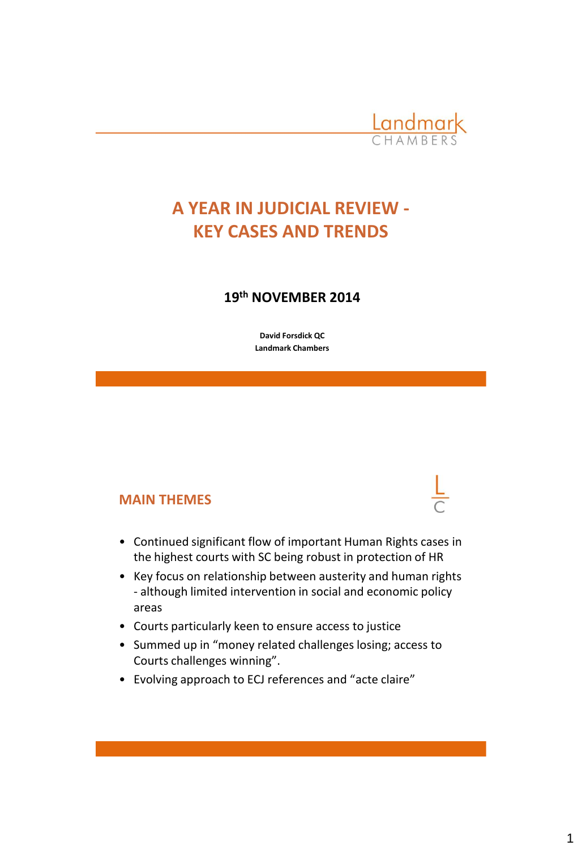

## **A YEAR IN JUDICIAL REVIEW - KEY CASES AND TRENDS**

### **19th NOVEMBER 2014**

**David Forsdick QC Landmark Chambers**

### **MAIN THEMES**

- Continued significant flow of important Human Rights cases in the highest courts with SC being robust in protection of HR
- Key focus on relationship between austerity and human rights - although limited intervention in social and economic policy areas
- Courts particularly keen to ensure access to justice
- Summed up in "money related challenges losing; access to Courts challenges winning".
- Evolving approach to ECJ references and "acte claire"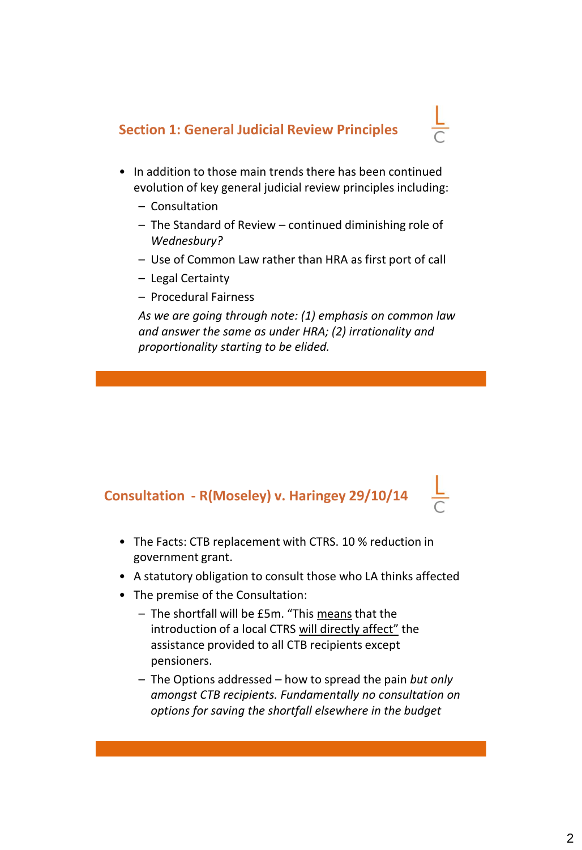### **Section 1: General Judicial Review Principles**



- In addition to those main trends there has been continued evolution of key general judicial review principles including:
	- Consultation
	- The Standard of Review continued diminishing role of *Wednesbury?*
	- Use of Common Law rather than HRA as first port of call
	- Legal Certainty
	- Procedural Fairness

*As we are going through note: (1) emphasis on common law and answer the same as under HRA; (2) irrationality and proportionality starting to be elided.*

### **Consultation - R(Moseley) v. Haringey 29/10/14**

- The Facts: CTB replacement with CTRS. 10 % reduction in government grant.
- A statutory obligation to consult those who LA thinks affected
- The premise of the Consultation:
	- The shortfall will be £5m. "This means that the introduction of a local CTRS will directly affect" the assistance provided to all CTB recipients except pensioners.
	- The Options addressed how to spread the pain *but only amongst CTB recipients. Fundamentally no consultation on options for saving the shortfall elsewhere in the budget*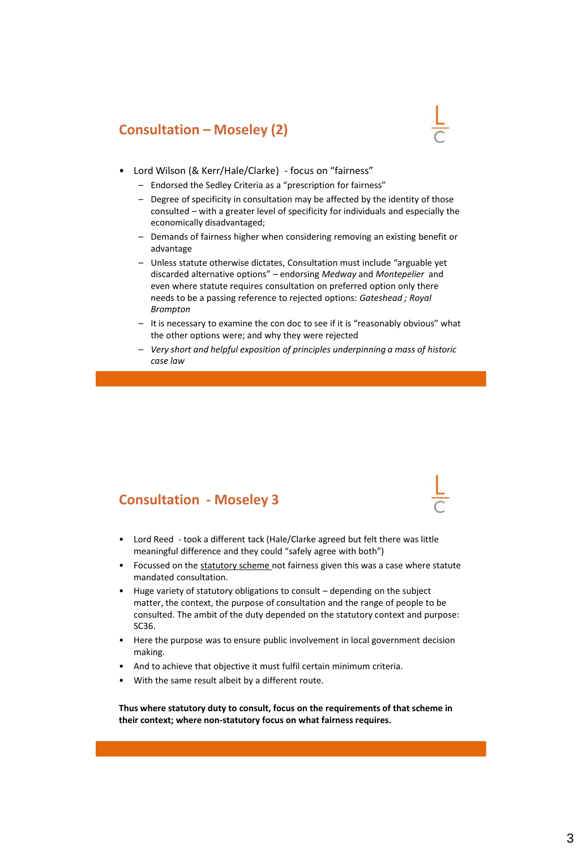### **Consultation – Moseley (2)**



- Lord Wilson (& Kerr/Hale/Clarke) focus on "fairness"
	- Endorsed the Sedley Criteria as a "prescription for fairness"
	- Degree of specificity in consultation may be affected by the identity of those consulted – with a greater level of specificity for individuals and especially the economically disadvantaged;
	- Demands of fairness higher when considering removing an existing benefit or advantage
	- Unless statute otherwise dictates, Consultation must include "arguable yet discarded alternative options" – endorsing *Medway* and *Montepelier* and even where statute requires consultation on preferred option only there needs to be a passing reference to rejected options: *Gateshead ; Royal Brompton*
	- It is necessary to examine the con doc to see if it is "reasonably obvious" what the other options were; and why they were rejected
	- *Very short and helpful exposition of principles underpinning a mass of historic case law*

### **Consultation - Moseley 3**

- Lord Reed took a different tack (Hale/Clarke agreed but felt there was little meaningful difference and they could "safely agree with both")
- Focussed on the statutory scheme not fairness given this was a case where statute mandated consultation.
- Huge variety of statutory obligations to consult depending on the subject matter, the context, the purpose of consultation and the range of people to be consulted. The ambit of the duty depended on the statutory context and purpose: SC36.
- Here the purpose was to ensure public involvement in local government decision making.
- And to achieve that objective it must fulfil certain minimum criteria.
- With the same result albeit by a different route.

**Thus where statutory duty to consult, focus on the requirements of that scheme in their context; where non-statutory focus on what fairness requires.**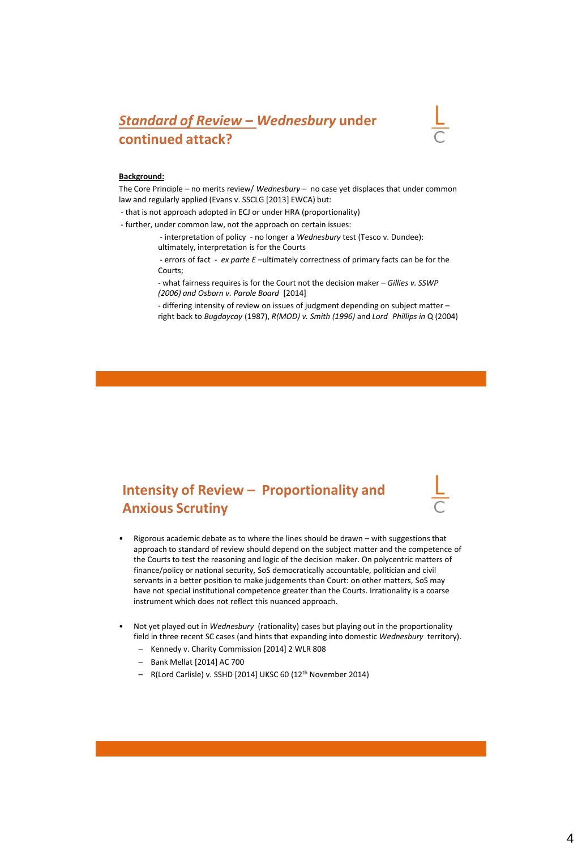### *Standard of Review – Wednesbury* **under continued attack?**



#### **Background:**

The Core Principle – no merits review/ *Wednesbury –* no case yet displaces that under common law and regularly applied (Evans v. SSCLG [2013] EWCA) but:

- that is not approach adopted in ECJ or under HRA (proportionality)

- further, under common law, not the approach on certain issues:

- interpretation of policy - no longer a *Wednesbury* test (Tesco v. Dundee): ultimately, interpretation is for the Courts

- errors of fact - *ex parte E –*ultimately correctness of primary facts can be for the Courts;

- what fairness requires is for the Court not the decision maker – *Gillies v. SSWP (2006) and Osborn v. Parole Board* [2014]

- differing intensity of review on issues of judgment depending on subject matter – right back to *Bugdaycay* (1987), *R(MOD) v. Smith (1996)* and *Lord Phillips in* Q (2004)

### **Intensity of Review – Proportionality and Anxious Scrutiny**

- Rigorous academic debate as to where the lines should be drawn with suggestions that approach to standard of review should depend on the subject matter and the competence of the Courts to test the reasoning and logic of the decision maker. On polycentric matters of finance/policy or national security, SoS democratically accountable, politician and civil servants in a better position to make judgements than Court: on other matters, SoS may have not special institutional competence greater than the Courts. Irrationality is a coarse instrument which does not reflect this nuanced approach.
- Not yet played out in *Wednesbury* (rationality) cases but playing out in the proportionality field in three recent SC cases (and hints that expanding into domestic *Wednesbury* territory).
	- Kennedy v. Charity Commission [2014] 2 WLR 808
	- Bank Mellat [2014] AC 700
	- R(Lord Carlisle) v. SSHD [2014] UKSC 60 (12th November 2014)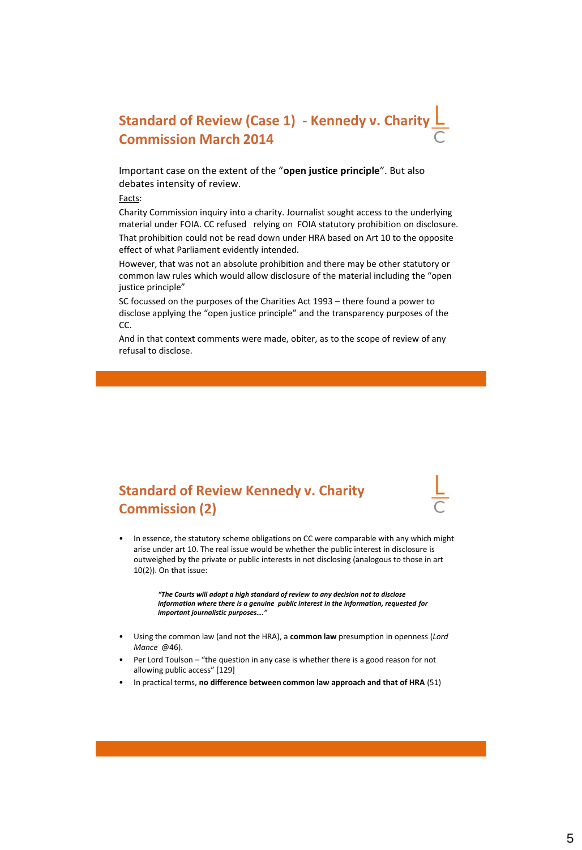### **Standard of Review (Case 1) - Kennedy v. Charity Commission March 2014**

Important case on the extent of the "**open justice principle**". But also debates intensity of review.

Facts:

Charity Commission inquiry into a charity. Journalist sought access to the underlying material under FOIA. CC refused relying on FOIA statutory prohibition on disclosure.

That prohibition could not be read down under HRA based on Art 10 to the opposite effect of what Parliament evidently intended.

However, that was not an absolute prohibition and there may be other statutory or common law rules which would allow disclosure of the material including the "open justice principle"

SC focussed on the purposes of the Charities Act 1993 – there found a power to disclose applying the "open justice principle" and the transparency purposes of the CC.

And in that context comments were made, obiter, as to the scope of review of any refusal to disclose.

### **Standard of Review Kennedy v. Charity Commission (2)**



• In essence, the statutory scheme obligations on CC were comparable with any which might arise under art 10. The real issue would be whether the public interest in disclosure is outweighed by the private or public interests in not disclosing (analogous to those in art 10(2)). On that issue:

> *"The Courts will adopt a high standard of review to any decision not to disclose information where there is a genuine public interest in the information, requested for important journalistic purposes…."*

- Using the common law (and not the HRA), a **common law** presumption in openness (*Lord Mance* @46).
- Per Lord Toulson "the question in any case is whether there is a good reason for not allowing public access" [129]
- In practical terms, **no difference between common law approach and that of HRA** (51)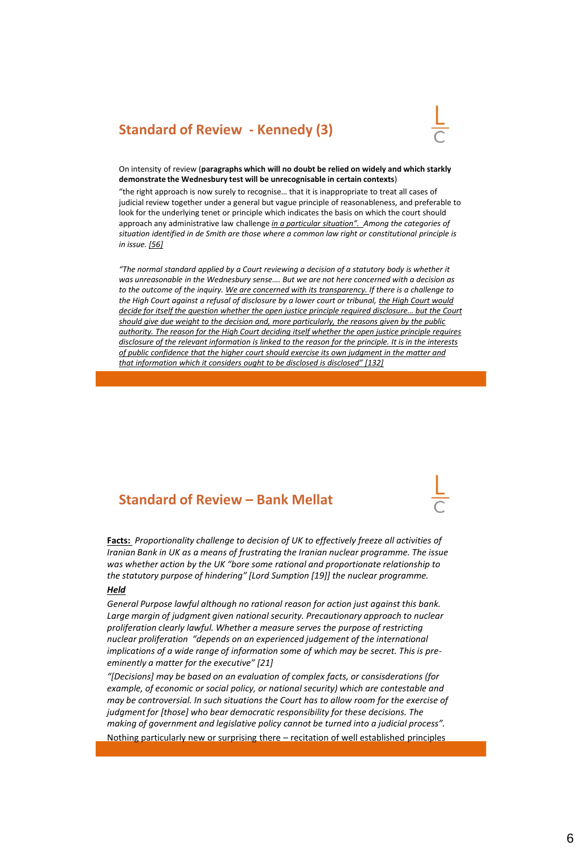### **Standard of Review - Kennedy (3)**



On intensity of review (**paragraphs which will no doubt be relied on widely and which starkly demonstrate the Wednesbury test will be unrecognisable in certain contexts**)

"the right approach is now surely to recognise… that it is inappropriate to treat all cases of judicial review together under a general but vague principle of reasonableness, and preferable to look for the underlying tenet or principle which indicates the basis on which the court should approach any administrative law challenge *in a particular situation". Among the categories of situation identified in de Smith are those where a common law right or constitutional principle is in issue. [56]*

*"The normal standard applied by a Court reviewing a decision of a statutory body is whether it was unreasonable in the Wednesbury sense…. But we are not here concerned with a decision as to the outcome of the inquiry. We are concerned with its transparency. If there is a challenge to the High Court against a refusal of disclosure by a lower court or tribunal, the High Court would decide for itself the question whether the open justice principle required disclosure… but the Court should give due weight to the decision and, more particularly, the reasons given by the public authority. The reason for the High Court deciding itself whether the open justice principle requires disclosure of the relevant information is linked to the reason for the principle. It is in the interests of public confidence that the higher court should exercise its own judgment in the matter and that information which it considers ought to be disclosed is disclosed" [132]*

### **Standard of Review – Bank Mellat**

**Facts:** *Proportionality challenge to decision of UK to effectively freeze all activities of Iranian Bank in UK as a means of frustrating the Iranian nuclear programme. The issue was whether action by the UK "bore some rational and proportionate relationship to the statutory purpose of hindering" [Lord Sumption [19]] the nuclear programme.* 

#### *Held*

*General Purpose lawful although no rational reason for action just against this bank. Large margin of judgment given national security. Precautionary approach to nuclear proliferation clearly lawful. Whether a measure serves the purpose of restricting nuclear proliferation "depends on an experienced judgement of the international implications of a wide range of information some of which may be secret. This is preeminently a matter for the executive" [21]*

*"[Decisions] may be based on an evaluation of complex facts, or consisderations (for example, of economic or social policy, or national security) which are contestable and may be controversial. In such situations the Court has to allow room for the exercise of judgment for [those] who bear democratic responsibility for these decisions. The making of government and legislative policy cannot be turned into a judicial process".* Nothing particularly new or surprising there – recitation of well established principles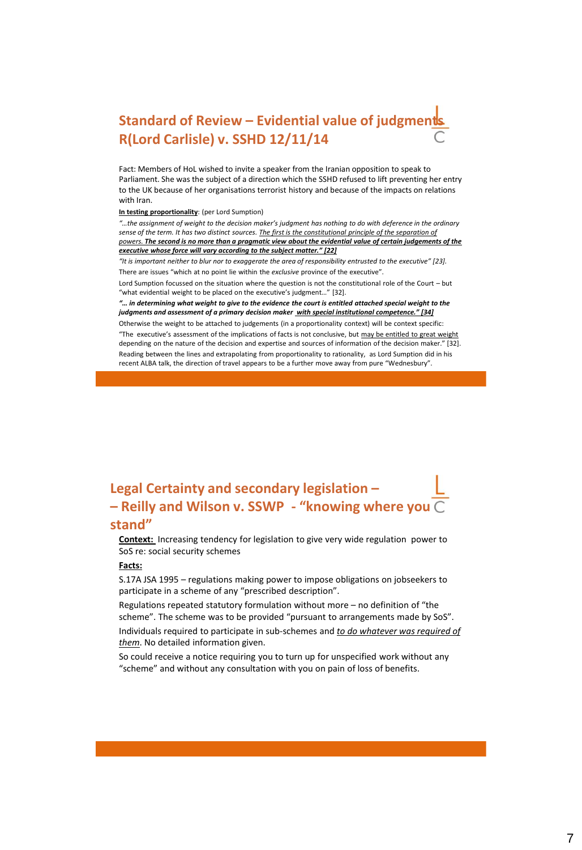### **Standard of Review - Evidential value of judgments R(Lord Carlisle) v. SSHD 12/11/14**

Fact: Members of HoL wished to invite a speaker from the Iranian opposition to speak to Parliament. She was the subject of a direction which the SSHD refused to lift preventing her entry to the UK because of her organisations terrorist history and because of the impacts on relations with Iran.

#### **In testing proportionality**: (per Lord Sumption)

*"…the assignment of weight to the decision maker's judgment has nothing to do with deference in the ordinary sense of the term. It has two distinct sources. The first is the constitutional principle of the separation of powers. The second is no more than a pragmatic view about the evidential value of certain judgements of the executive whose force will vary according to the subject matter." [22]* 

*"It is important neither to blur nor to exaggerate the area of responsibility entrusted to the executive" [23].* There are issues "which at no point lie within the *exclusive* province of the executive".

Lord Sumption focussed on the situation where the question is not the constitutional role of the Court – but "what evidential weight to be placed on the executive's judgment…" [32].

*"… in determining what weight to give to the evidence the court is entitled attached special weight to the judgments and assessment of a primary decision maker with special institutional competence." [34]* Otherwise the weight to be attached to judgements (in a proportionality context) will be context specific:

"The executive's assessment of the implications of facts is not conclusive, but may be entitled to great weight depending on the nature of the decision and expertise and sources of information of the decision maker." [32]. Reading between the lines and extrapolating from proportionality to rationality, as Lord Sumption did in his recent ALBA talk, the direction of travel appears to be a further move away from pure "Wednesbury".

### **Legal Certainty and secondary legislation – – Reilly and Wilson v. SSWP - "knowing where you stand"**

**Context:** Increasing tendency for legislation to give very wide regulation power to SoS re: social security schemes

#### **Facts:**

S.17A JSA 1995 – regulations making power to impose obligations on jobseekers to participate in a scheme of any "prescribed description".

Regulations repeated statutory formulation without more – no definition of "the scheme". The scheme was to be provided "pursuant to arrangements made by SoS". Individuals required to participate in sub-schemes and *to do whatever was required of them*. No detailed information given.

So could receive a notice requiring you to turn up for unspecified work without any "scheme" and without any consultation with you on pain of loss of benefits.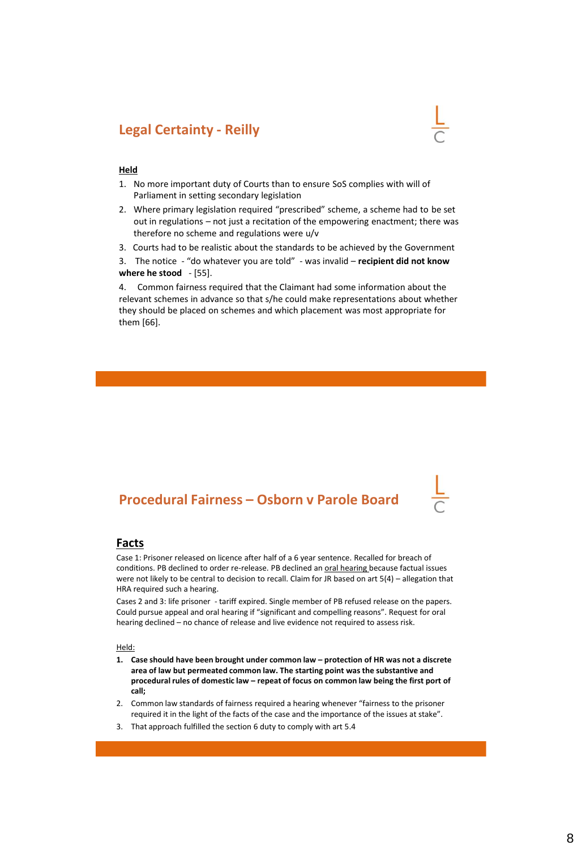### **Legal Certainty - Reilly**



### **Held**

- 1. No more important duty of Courts than to ensure SoS complies with will of Parliament in setting secondary legislation
- 2. Where primary legislation required "prescribed" scheme, a scheme had to be set out in regulations – not just a recitation of the empowering enactment; there was therefore no scheme and regulations were u/v
- 3. Courts had to be realistic about the standards to be achieved by the Government
- 3. The notice "do whatever you are told" was invalid **recipient did not know where he stood** - [55].

4. Common fairness required that the Claimant had some information about the relevant schemes in advance so that s/he could make representations about whether they should be placed on schemes and which placement was most appropriate for them [66].

### **Procedural Fairness – Osborn v Parole Board**

#### **Facts**

Case 1: Prisoner released on licence after half of a 6 year sentence. Recalled for breach of conditions. PB declined to order re-release. PB declined an oral hearing because factual issues were not likely to be central to decision to recall. Claim for JR based on art 5(4) – allegation that HRA required such a hearing.

Cases 2 and 3: life prisoner - tariff expired. Single member of PB refused release on the papers. Could pursue appeal and oral hearing if "significant and compelling reasons". Request for oral hearing declined – no chance of release and live evidence not required to assess risk.

Held:

- **1. Case should have been brought under common law – protection of HR was not a discrete area of law but permeated common law. The starting point was the substantive and procedural rules of domestic law – repeat of focus on common law being the first port of call;**
- 2. Common law standards of fairness required a hearing whenever "fairness to the prisoner required it in the light of the facts of the case and the importance of the issues at stake".
- 3. That approach fulfilled the section 6 duty to comply with art 5.4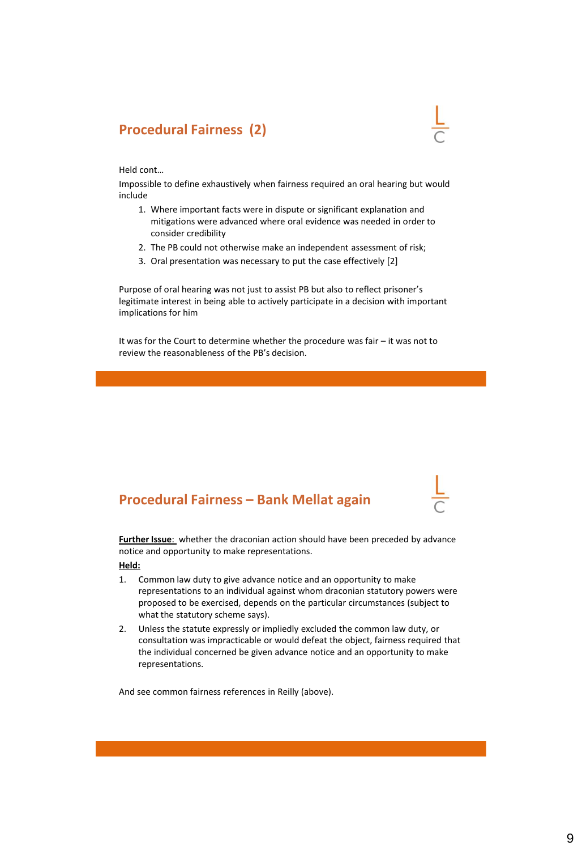### **Procedural Fairness (2)**

Held cont…

Impossible to define exhaustively when fairness required an oral hearing but would include

- 1. Where important facts were in dispute or significant explanation and mitigations were advanced where oral evidence was needed in order to consider credibility
- 2. The PB could not otherwise make an independent assessment of risk;
- 3. Oral presentation was necessary to put the case effectively [2]

Purpose of oral hearing was not just to assist PB but also to reflect prisoner's legitimate interest in being able to actively participate in a decision with important implications for him

It was for the Court to determine whether the procedure was fair – it was not to review the reasonableness of the PB's decision.

### **Procedural Fairness – Bank Mellat again**

**Further Issue**: whether the draconian action should have been preceded by advance notice and opportunity to make representations.

**Held:** 

- 1. Common law duty to give advance notice and an opportunity to make representations to an individual against whom draconian statutory powers were proposed to be exercised, depends on the particular circumstances (subject to what the statutory scheme says).
- 2. Unless the statute expressly or impliedly excluded the common law duty, or consultation was impracticable or would defeat the object, fairness required that the individual concerned be given advance notice and an opportunity to make representations.

And see common fairness references in Reilly (above).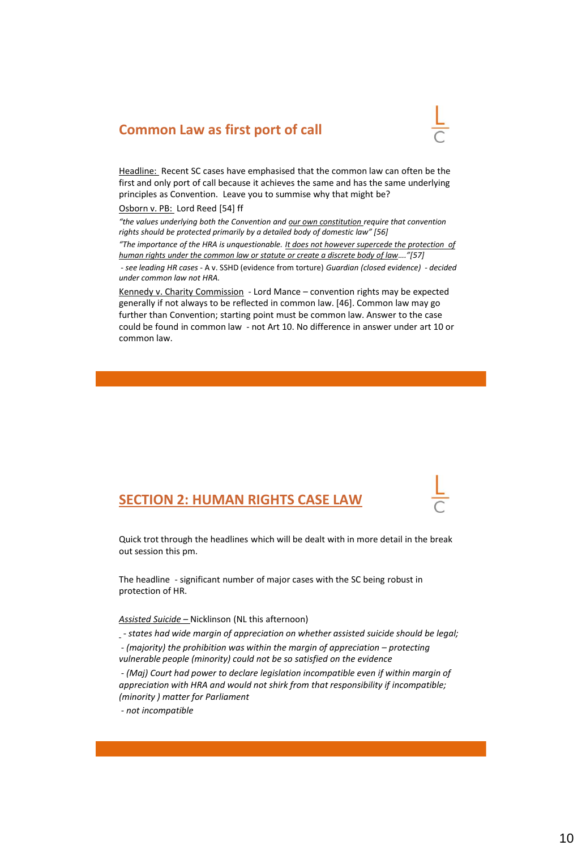### **Common Law as first port of call**



Headline: Recent SC cases have emphasised that the common law can often be the first and only port of call because it achieves the same and has the same underlying principles as Convention. Leave you to summise why that might be?

#### Osborn v. PB: Lord Reed [54] ff

*"the values underlying both the Convention and our own constitution require that convention rights should be protected primarily by a detailed body of domestic law" [56] "The importance of the HRA is unquestionable. It does not however supercede the protection of human rights under the common law or statute or create a discrete body of law…."[57] - see leading HR cases -* A v. SSHD (evidence from torture) *Guardian (closed evidence) - decided under common law not HRA.*

Kennedy v. Charity Commission - Lord Mance – convention rights may be expected generally if not always to be reflected in common law. [46]. Common law may go further than Convention; starting point must be common law. Answer to the case could be found in common law - not Art 10. No difference in answer under art 10 or common law.

### **SECTION 2: HUMAN RIGHTS CASE LAW**

Quick trot through the headlines which will be dealt with in more detail in the break out session this pm.

The headline - significant number of major cases with the SC being robust in protection of HR.

#### *Assisted Suicide –* Nicklinson (NL this afternoon)

- *- states had wide margin of appreciation on whether assisted suicide should be legal;*
- *-* (majority) the prohibition was within the margin of appreciation protecting *vulnerable people (minority) could not be so satisfied on the evidence*

*- (Maj) Court had power to declare legislation incompatible even if within margin of appreciation with HRA and would not shirk from that responsibility if incompatible; (minority ) matter for Parliament* 

*- not incompatible*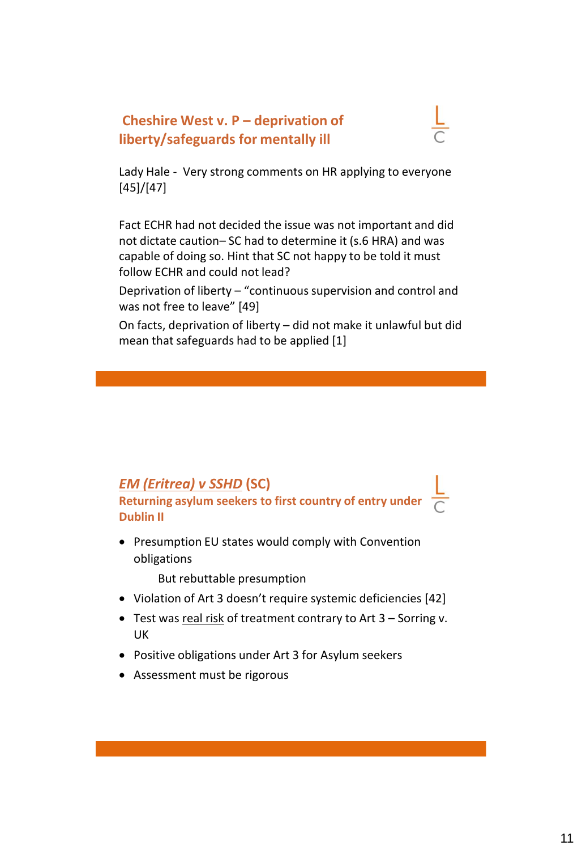### **Cheshire West v. P – deprivation of liberty/safeguards for mentally ill**



Lady Hale - Very strong comments on HR applying to everyone [45]/[47]

Fact ECHR had not decided the issue was not important and did not dictate caution– SC had to determine it (s.6 HRA) and was capable of doing so. Hint that SC not happy to be told it must follow ECHR and could not lead?

Deprivation of liberty – "continuous supervision and control and was not free to leave" [49]

On facts, deprivation of liberty – did not make it unlawful but did mean that safeguards had to be applied [1]

### *EM (Eritrea) v SSHD* **(SC) Returning asylum seekers to first country of entry under Dublin II**

• Presumption EU states would comply with Convention obligations

But rebuttable presumption

- Violation of Art 3 doesn't require systemic deficiencies [42]
- Test was real risk of treatment contrary to Art 3 Sorring v. UK
- Positive obligations under Art 3 for Asylum seekers
- Assessment must be rigorous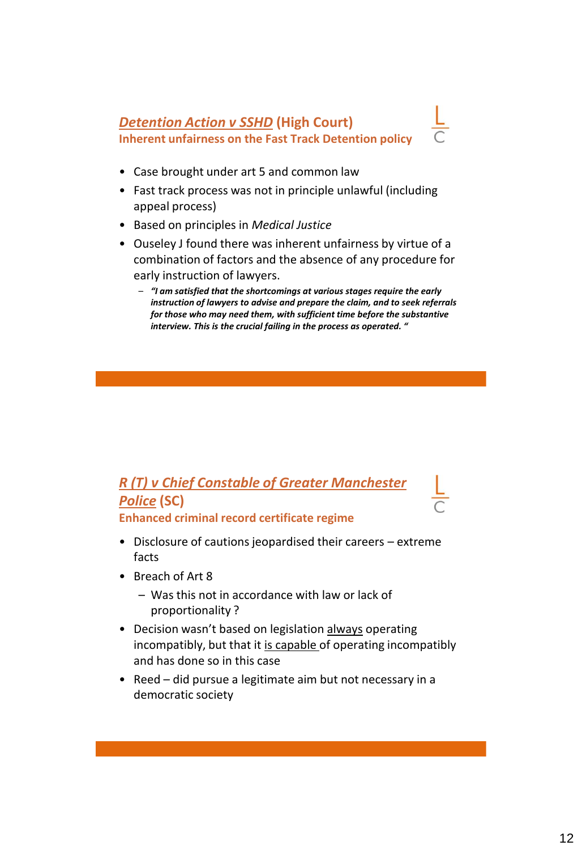### *Detention Action v SSHD* **(High Court) Inherent unfairness on the Fast Track Detention policy**

- Case brought under art 5 and common law
- Fast track process was not in principle unlawful (including appeal process)
- Based on principles in *Medical Justice*
- Ouseley J found there was inherent unfairness by virtue of a combination of factors and the absence of any procedure for early instruction of lawyers.
	- *"I am satisfied that the shortcomings at various stages require the early instruction of lawyers to advise and prepare the claim, and to seek referrals for those who may need them, with sufficient time before the substantive interview. This is the crucial failing in the process as operated. "*

### *R (T) v Chief Constable of Greater Manchester Police* **(SC) Enhanced criminal record certificate regime**

- Disclosure of cautions jeopardised their careers extreme facts
- Breach of Art 8
	- Was this not in accordance with law or lack of proportionality ?
- Decision wasn't based on legislation always operating incompatibly, but that it is capable of operating incompatibly and has done so in this case
- Reed did pursue a legitimate aim but not necessary in a democratic society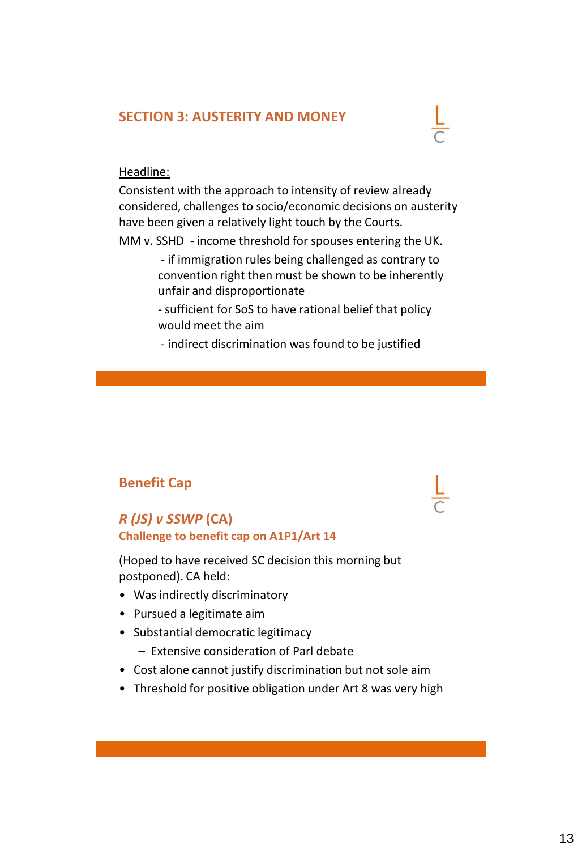### **SECTION 3: AUSTERITY AND MONEY**



### Headline:

Consistent with the approach to intensity of review already considered, challenges to socio/economic decisions on austerity have been given a relatively light touch by the Courts.

MM v. SSHD - income threshold for spouses entering the UK.

- if immigration rules being challenged as contrary to convention right then must be shown to be inherently unfair and disproportionate
- sufficient for SoS to have rational belief that policy would meet the aim
- indirect discrimination was found to be justified

### **Benefit Cap**

### *R (JS) v SSWP* **(CA) Challenge to benefit cap on A1P1/Art 14**

(Hoped to have received SC decision this morning but postponed). CA held:

- Was indirectly discriminatory
- Pursued a legitimate aim
- Substantial democratic legitimacy
	- Extensive consideration of Parl debate
- Cost alone cannot justify discrimination but not sole aim
- Threshold for positive obligation under Art 8 was very high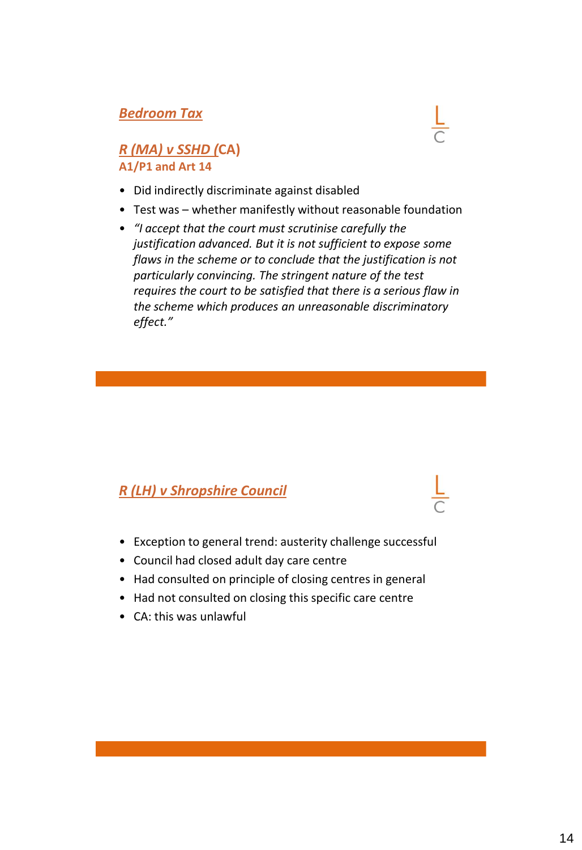### *Bedroom Tax*

### *R (MA) v SSHD (***CA) A1/P1 and Art 14**

- Did indirectly discriminate against disabled
- Test was whether manifestly without reasonable foundation
- *"I accept that the court must scrutinise carefully the justification advanced. But it is not sufficient to expose some flaws in the scheme or to conclude that the justification is not particularly convincing. The stringent nature of the test requires the court to be satisfied that there is a serious flaw in the scheme which produces an unreasonable discriminatory effect."*

### *R (LH) v Shropshire Council*

- Exception to general trend: austerity challenge successful
- Council had closed adult day care centre
- Had consulted on principle of closing centres in general
- Had not consulted on closing this specific care centre
- CA: this was unlawful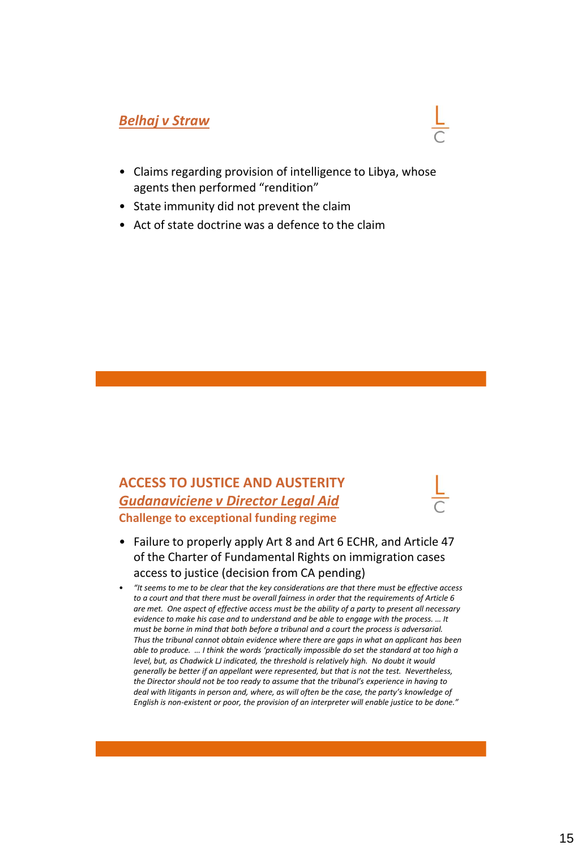### *Belhaj v Straw*



- State immunity did not prevent the claim
- Act of state doctrine was a defence to the claim

### **ACCESS TO JUSTICE AND AUSTERITY** *Gudanaviciene v Director Legal Aid* **Challenge to exceptional funding regime**

- Failure to properly apply Art 8 and Art 6 ECHR, and Article 47 of the Charter of Fundamental Rights on immigration cases access to justice (decision from CA pending)
- *"It seems to me to be clear that the key considerations are that there must be effective access to a court and that there must be overall fairness in order that the requirements of Article 6 are met. One aspect of effective access must be the ability of a party to present all necessary evidence to make his case and to understand and be able to engage with the process. … It must be borne in mind that both before a tribunal and a court the process is adversarial. Thus the tribunal cannot obtain evidence where there are gaps in what an applicant has been able to produce. … I think the words 'practically impossible do set the standard at too high a level, but, as Chadwick LJ indicated, the threshold is relatively high. No doubt it would generally be better if an appellant were represented, but that is not the test. Nevertheless, the Director should not be too ready to assume that the tribunal's experience in having to deal with litigants in person and, where, as will often be the case, the party's knowledge of English is non-existent or poor, the provision of an interpreter will enable justice to be done."*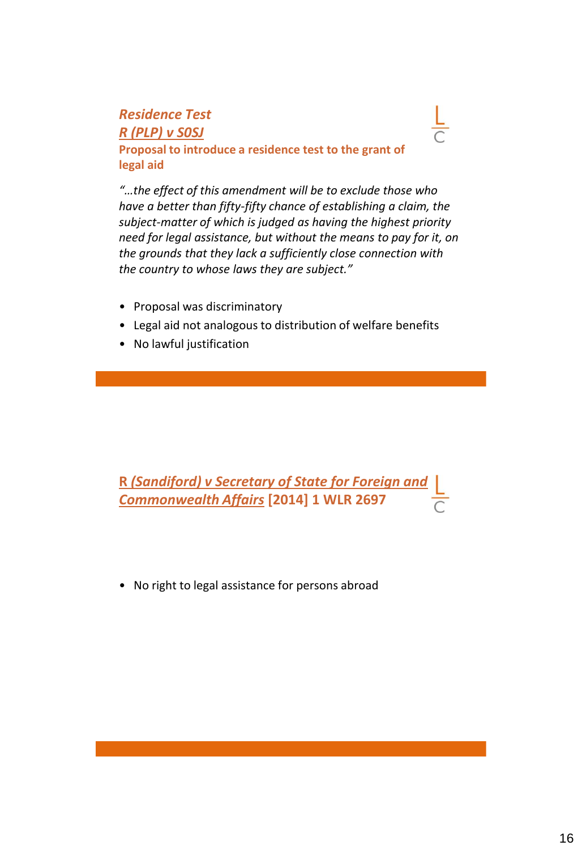### *Residence Test R (PLP) v S0SJ* **Proposal to introduce a residence test to the grant of legal aid**

*"…the effect of this amendment will be to exclude those who have a better than fifty-fifty chance of establishing a claim, the subject-matter of which is judged as having the highest priority need for legal assistance, but without the means to pay for it, on the grounds that they lack a sufficiently close connection with the country to whose laws they are subject."*

- Proposal was discriminatory
- Legal aid not analogous to distribution of welfare benefits
- No lawful justification

**R** *(Sandiford) v Secretary of State for Foreign and Commonwealth Affairs* **[2014] 1 WLR 2697**

• No right to legal assistance for persons abroad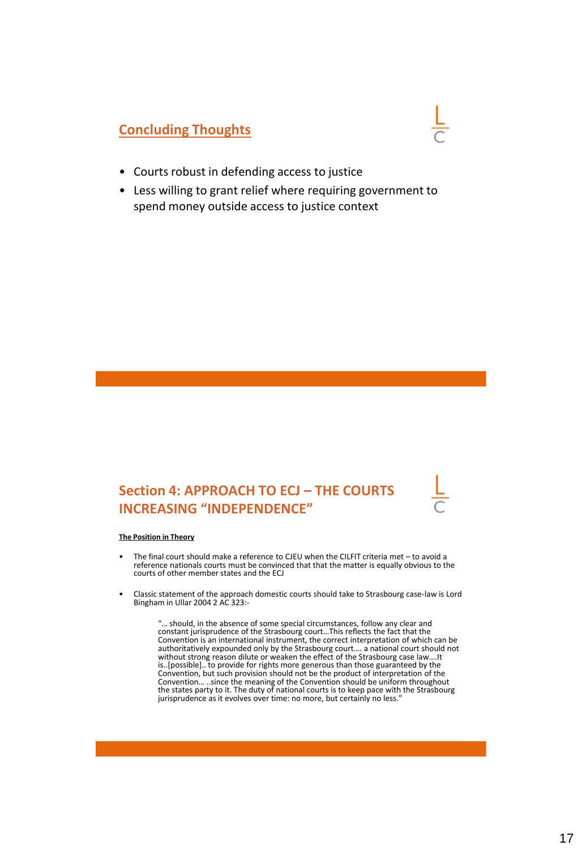### **Concluding Thoughts**

- Courts robust in defending access to justice
- Less willing to grant relief where requiring government to spend money outside access to justice context

### **Section 4: APPROACH TO ECJ – THE COURTS INCREASING "INDEPENDENCE"**

#### **The Position in Theory**

- The final court should make a reference to CJEU when the CILFIT criteria met to avoid a reference nationals courts must be convinced that that the matter is equally obvious to the courts of other member states and the ECJ
- Classic statement of the approach domestic courts should take to Strasbourg case-law is Lord Bingham in Ullar 2004 2 AC 323:-

"… should, in the absence of some special circumstances, follow any clear and constant jurisprudence of the Strasbourg court…This reflects the fact that the Convention is an international instrument, the correct interpretation of which can be authoritatively expounded only by the Strasbourg court…. a national court should not without strong reason dilute or weaken the effect of the Strasbourg case law….It is..[possible].. to provide for rights more generous than those guaranteed by the Convention, but such provision should not be the product of interpretation of the Convention… ..since the meaning of the Convention should be uniform throughout the states party to it. The duty of national courts is to keep pace with the Strasbourg jurisprudence as it evolves over time: no more, but certainly no less.'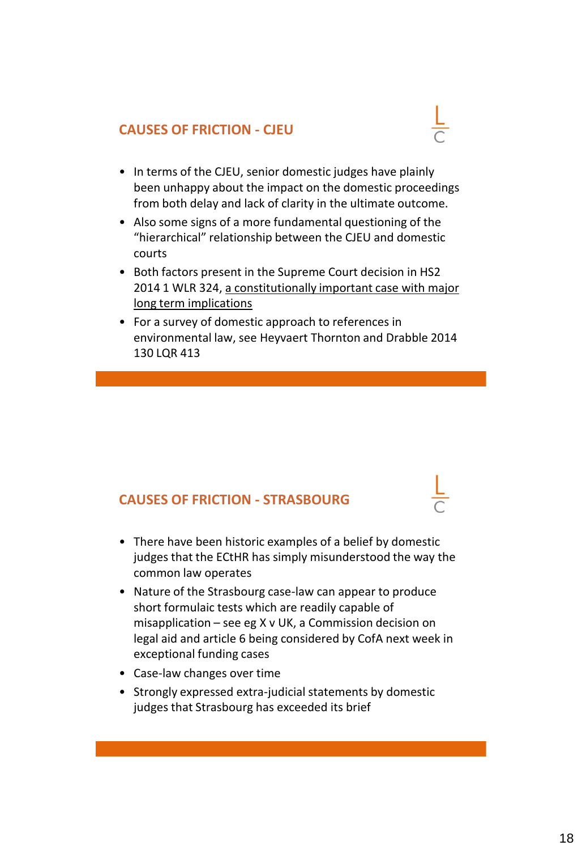### **CAUSES OF FRICTION - CJEU**

- 
- In terms of the CJEU, senior domestic judges have plainly been unhappy about the impact on the domestic proceedings from both delay and lack of clarity in the ultimate outcome.
- Also some signs of a more fundamental questioning of the "hierarchical" relationship between the CJEU and domestic courts
- Both factors present in the Supreme Court decision in HS2 2014 1 WLR 324, a constitutionally important case with major long term implications
- For a survey of domestic approach to references in environmental law, see Heyvaert Thornton and Drabble 2014 130 LQR 413

### **CAUSES OF FRICTION - STRASBOURG**

- There have been historic examples of a belief by domestic judges that the ECtHR has simply misunderstood the way the common law operates
- Nature of the Strasbourg case-law can appear to produce short formulaic tests which are readily capable of misapplication – see eg X v UK, a Commission decision on legal aid and article 6 being considered by CofA next week in exceptional funding cases
- Case-law changes over time
- Strongly expressed extra-judicial statements by domestic judges that Strasbourg has exceeded its brief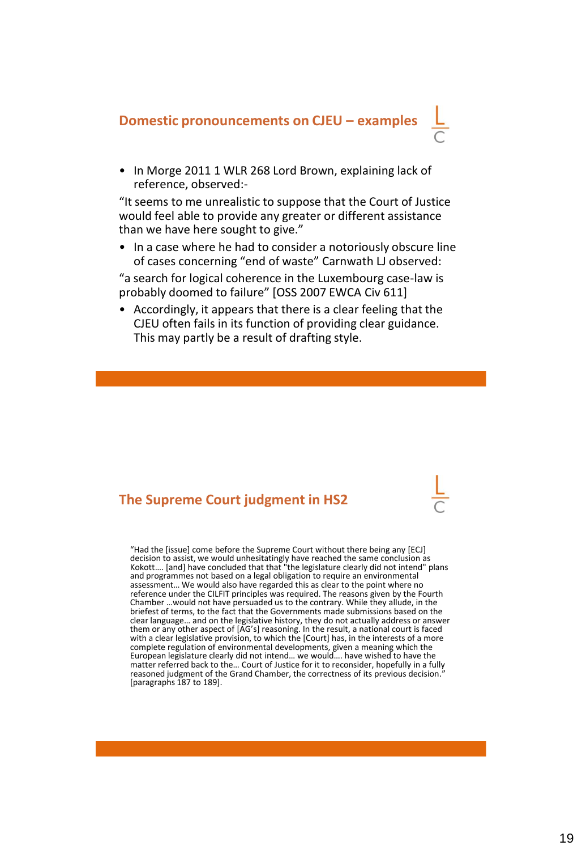# **Domestic pronouncements on CJEU – examples**

• In Morge 2011 1 WLR 268 Lord Brown, explaining lack of reference, observed:-

"It seems to me unrealistic to suppose that the Court of Justice would feel able to provide any greater or different assistance than we have here sought to give."

• In a case where he had to consider a notoriously obscure line of cases concerning "end of waste" Carnwath LJ observed:

"a search for logical coherence in the Luxembourg case-law is probably doomed to failure" [OSS 2007 EWCA Civ 611]

• Accordingly, it appears that there is a clear feeling that the CJEU often fails in its function of providing clear guidance. This may partly be a result of drafting style.

### **The Supreme Court judgment in HS2**

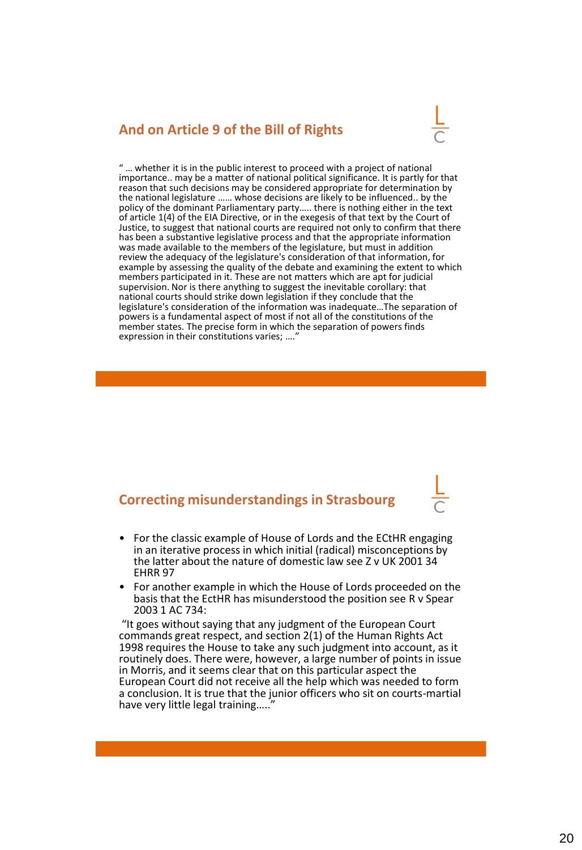### **And on Article 9 of the Bill of Rights**



" … whether it is in the public interest to proceed with a project of national importance.. may be a matter of national political significance. It is partly for that reason that such decisions may be considered appropriate for determination by the national legislature …… whose decisions are likely to be influenced.. by the policy of the dominant Parliamentary party….. there is nothing either in the text of article 1(4) of the EIA Directive, or in the exegesis of that text by the Court of Justice, to suggest that national courts are required not only to confirm that there has been a substantive legislative process and that the appropriate information was made available to the members of the legislature, but must in addition review the adequacy of the legislature's consideration of that information, for example by assessing the quality of the debate and examining the extent to which members participated in it. These are not matters which are apt for judicial supervision. Nor is there anything to suggest the inevitable corollary: that national courts should strike down legislation if they conclude that the legislature's consideration of the information was inadequate…The separation of powers is a fundamental aspect of most if not all of the constitutions of the member states. The precise form in which the separation of powers finds expression in their constitutions varies; ....'

### **Correcting misunderstandings in Strasbourg**

- For the classic example of House of Lords and the ECtHR engaging in an iterative process in which initial (radical) misconceptions by the latter about the nature of domestic law see Z v UK 2001 34 EHRR 97
- For another example in which the House of Lords proceeded on the basis that the EctHR has misunderstood the position see R v Spear 2003 1 AC 734:

"It goes without saying that any judgment of the European Court commands great respect, and section 2(1) of the Human Rights Act 1998 requires the House to take any such judgment into account, as it routinely does. There were, however, a large number of points in issue in Morris, and it seems clear that on this particular aspect the European Court did not receive all the help which was needed to form a conclusion. It is true that the junior officers who sit on courts-martial have very little legal training....."